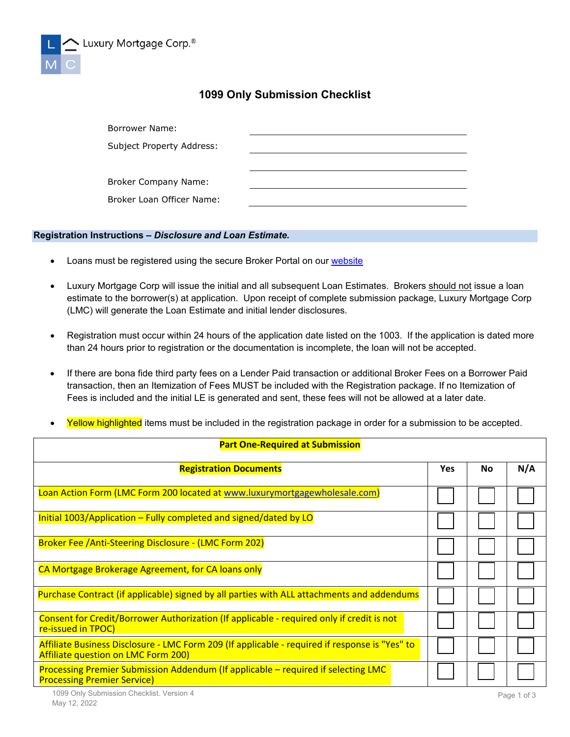

## **1099 Only Submission Checklist**

| Borrower Name:            |  |
|---------------------------|--|
| Subject Property Address: |  |
|                           |  |
| Broker Company Name:      |  |
| Broker Loan Officer Name: |  |

## **Registration Instructions –** *Disclosure and Loan Estimate.*

- Loans must be registered using the secure Broker Portal on our [website](http://www.luxurymortgagewholesale.com/)
- Luxury Mortgage Corp will issue the initial and all subsequent Loan Estimates. Brokers should not issue a loan estimate to the borrower(s) at application. Upon receipt of complete submission package, Luxury Mortgage Corp (LMC) will generate the Loan Estimate and initial lender disclosures.
- Registration must occur within 24 hours of the application date listed on the 1003. If the application is dated more than 24 hours prior to registration or the documentation is incomplete, the loan will not be accepted.
- If there are bona fide third party fees on a Lender Paid transaction or additional Broker Fees on a Borrower Paid transaction, then an Itemization of Fees MUST be included with the Registration package. If no Itemization of Fees is included and the initial LE is generated and sent, these fees will not be allowed at a later date.
- Yellow highlighted items must be included in the registration package in order for a submission to be accepted.

| <b>Part One-Required at Submission</b>                                                                                                |  |    |     |  |
|---------------------------------------------------------------------------------------------------------------------------------------|--|----|-----|--|
| <b>Registration Documents</b>                                                                                                         |  | No | N/A |  |
| Loan Action Form (LMC Form 200 located at www.luxurymortgagewholesale.com)                                                            |  |    |     |  |
| Initial 1003/Application – Fully completed and signed/dated by LO                                                                     |  |    |     |  |
| <b>Broker Fee /Anti-Steering Disclosure - (LMC Form 202)</b>                                                                          |  |    |     |  |
| CA Mortgage Brokerage Agreement, for CA loans only                                                                                    |  |    |     |  |
| Purchase Contract (if applicable) signed by all parties with ALL attachments and addendums                                            |  |    |     |  |
| Consent for Credit/Borrower Authorization (If applicable - required only if credit is not<br>re-issued in TPOC)                       |  |    |     |  |
| Affiliate Business Disclosure - LMC Form 209 (If applicable - required if response is "Yes" to<br>Affiliate question on LMC Form 200) |  |    |     |  |
| Processing Premier Submission Addendum (If applicable – required if selecting LMC<br><b>Processing Premier Service)</b>               |  |    |     |  |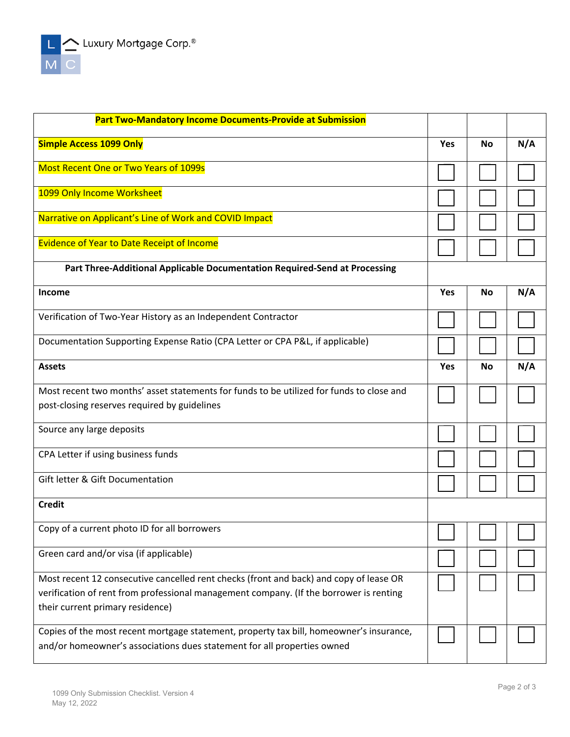$\begin{array}{c}\n\begin{array}{|c|c|}\n\hline\n\end{array} & \begin{array}{|c|}\n\hline\n\end{array} & \text{Luxury Mortgage Corp.}^{\circ}\n\end{array}$  M

| <b>Part Two-Mandatory Income Documents-Provide at Submission</b>                         |            |           |     |
|------------------------------------------------------------------------------------------|------------|-----------|-----|
| <b>Simple Access 1099 Only</b>                                                           | <b>Yes</b> | <b>No</b> | N/A |
| <b>Most Recent One or Two Years of 1099s</b>                                             |            |           |     |
| 1099 Only Income Worksheet                                                               |            |           |     |
| Narrative on Applicant's Line of Work and COVID Impact                                   |            |           |     |
| <b>Evidence of Year to Date Receipt of Income</b>                                        |            |           |     |
| Part Three-Additional Applicable Documentation Required-Send at Processing               |            |           |     |
| <b>Income</b>                                                                            | <b>Yes</b> | No        | N/A |
| Verification of Two-Year History as an Independent Contractor                            |            |           |     |
| Documentation Supporting Expense Ratio (CPA Letter or CPA P&L, if applicable)            |            |           |     |
| <b>Assets</b>                                                                            | Yes        | No        | N/A |
| Most recent two months' asset statements for funds to be utilized for funds to close and |            |           |     |
| post-closing reserves required by guidelines                                             |            |           |     |
| Source any large deposits                                                                |            |           |     |
| CPA Letter if using business funds                                                       |            |           |     |
| Gift letter & Gift Documentation                                                         |            |           |     |
| <b>Credit</b>                                                                            |            |           |     |
| Copy of a current photo ID for all borrowers                                             |            |           |     |
| Green card and/or visa (if applicable)                                                   |            |           |     |
| Most recent 12 consecutive cancelled rent checks (front and back) and copy of lease OR   |            |           |     |
| verification of rent from professional management company. (If the borrower is renting   |            |           |     |
| their current primary residence)                                                         |            |           |     |
| Copies of the most recent mortgage statement, property tax bill, homeowner's insurance,  |            |           |     |
| and/or homeowner's associations dues statement for all properties owned                  |            |           |     |